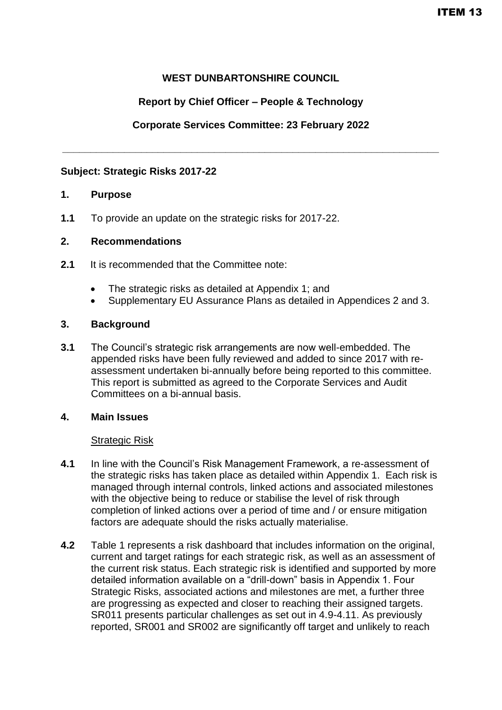## **WEST DUNBARTONSHIRE COUNCIL**

## **Report by Chief Officer – People & Technology**

### **Corporate Services Committee: 23 February 2022**

**\_\_\_\_\_\_\_\_\_\_\_\_\_\_\_\_\_\_\_\_\_\_\_\_\_\_\_\_\_\_\_\_\_\_\_\_\_\_\_\_\_\_\_\_\_\_\_\_\_\_\_\_\_\_\_\_\_\_\_\_\_\_\_\_\_\_\_**

#### **Subject: Strategic Risks 2017-22**

#### **1. Purpose**

**1.1** To provide an update on the strategic risks for 2017-22.

#### **2. Recommendations**

- **2.1** It is recommended that the Committee note:
	- The strategic risks as detailed at Appendix 1; and
	- Supplementary EU Assurance Plans as detailed in Appendices 2 and 3.

#### **3. Background**

**3.1** The Council's strategic risk arrangements are now well-embedded. The appended risks have been fully reviewed and added to since 2017 with reassessment undertaken bi-annually before being reported to this committee. This report is submitted as agreed to the Corporate Services and Audit Committees on a bi-annual basis.

#### **4. Main Issues**

#### Strategic Risk

- **4.1** In line with the Council's Risk Management Framework, a re-assessment of the strategic risks has taken place as detailed within Appendix 1. Each risk is managed through internal controls, linked actions and associated milestones with the objective being to reduce or stabilise the level of risk through completion of linked actions over a period of time and / or ensure mitigation factors are adequate should the risks actually materialise.
- **4.2** Table 1 represents a risk dashboard that includes information on the original, current and target ratings for each strategic risk, as well as an assessment of the current risk status. Each strategic risk is identified and supported by more detailed information available on a "drill-down" basis in Appendix 1. Four Strategic Risks, associated actions and milestones are met, a further three are progressing as expected and closer to reaching their assigned targets. SR011 presents particular challenges as set out in 4.9-4.11. As previously reported, SR001 and SR002 are significantly off target and unlikely to reach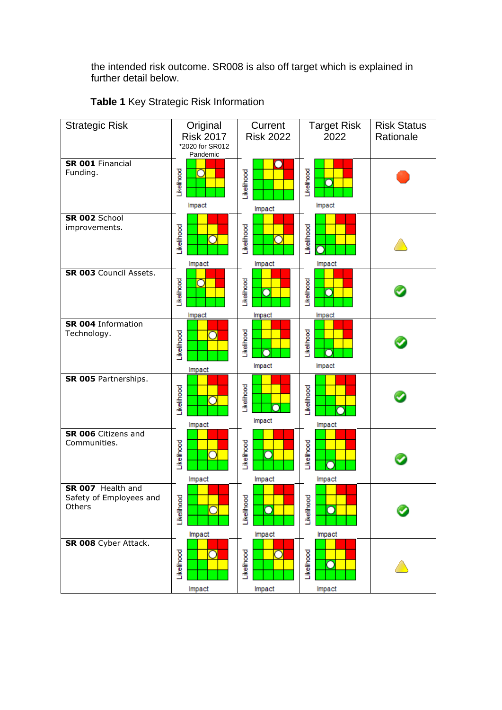the intended risk outcome. SR008 is also off target which is explained in further detail below.

| <b>Strategic Risk</b>                                  | Original<br><b>Risk 2017</b><br>*2020 for SR012<br>Pandemic | Current<br><b>Risk 2022</b>                | <b>Target Risk</b><br>2022                 | <b>Risk Status</b><br>Rationale |
|--------------------------------------------------------|-------------------------------------------------------------|--------------------------------------------|--------------------------------------------|---------------------------------|
| SR 001 Financial<br>Funding.                           | Likelihood<br>Impact                                        | Likelihood<br>Impact                       | Likelihood<br>Ω<br>Impact                  |                                 |
| SR 002 School<br>improvements.                         | _ikelihood<br>Impact                                        | Likelihood<br>Impact                       | Likelihood<br>Impact                       |                                 |
| SR 003 Council Assets.                                 | Likelihood<br>$\overline{\rm O}$<br>Impact                  | Likelihood<br>∩<br>Impact                  | Likelihood<br>Ō<br>Impact                  |                                 |
| <b>SR 004 Information</b><br>Technology.               | ikelihood<br>n<br>Impact                                    | Likelihood<br>Ω<br>Impact                  | Likelihood<br>Impact                       |                                 |
| SR 005 Partnerships.                                   | Likelihood<br>Impact                                        | Likelihood<br>Г<br>Impact                  | _ikelihood<br>Impact                       |                                 |
| SR 006 Citizens and<br>Communities.                    | Likelihood<br>n<br>Impact                                   | _ikelihood<br>O<br>Impact                  | <b>kellhood</b><br>Impact                  |                                 |
| SR 007 Health and<br>Safety of Employees and<br>Others | Likelihood<br>□<br>Impact                                   | Likelihooc<br>$\overline{\rm O}$<br>Impact | Likelihood<br>$\overline{\rm O}$<br>Impact |                                 |
| SR 008 Cyber Attack.                                   | Likelihood<br>Impact                                        | Likelihood<br>Impact                       | Likelihood<br>C<br>Impact                  |                                 |

**Table 1** Key Strategic Risk Information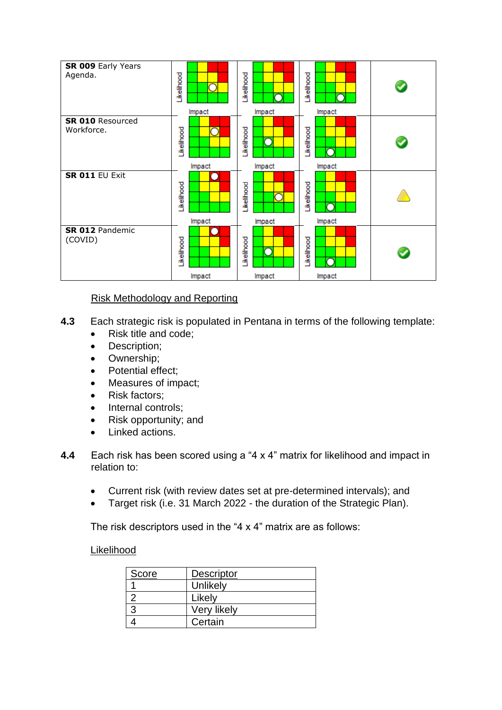

# Risk Methodology and Reporting

- **4.3** Each strategic risk is populated in Pentana in terms of the following template:
	- Risk title and code;
	- Description;
	- Ownership;
	- Potential effect;
	- Measures of impact;
	- Risk factors;
	- Internal controls;
	- Risk opportunity; and
	- Linked actions.
- **4.4** Each risk has been scored using a "4 x 4" matrix for likelihood and impact in relation to:
	- Current risk (with review dates set at pre-determined intervals); and
	- Target risk (i.e. 31 March 2022 the duration of the Strategic Plan).

The risk descriptors used in the "4 x 4" matrix are as follows:

### Likelihood

| Score | Descriptor  |
|-------|-------------|
|       | Unlikely    |
|       | Likely      |
|       | Very likely |
|       | Certain     |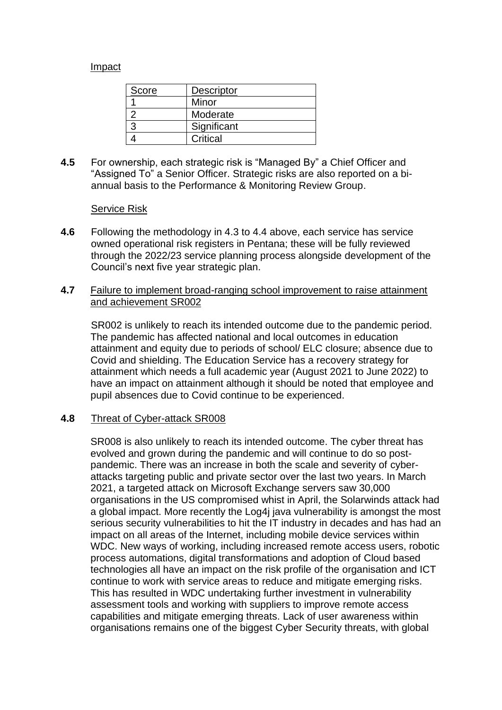### Impact

| Score | <b>Descriptor</b> |
|-------|-------------------|
|       | Minor             |
|       | Moderate          |
|       | Significant       |
|       | Critical          |

**4.5** For ownership, each strategic risk is "Managed By" a Chief Officer and "Assigned To" a Senior Officer. Strategic risks are also reported on a biannual basis to the Performance & Monitoring Review Group.

#### Service Risk

**4.6** Following the methodology in 4.3 to 4.4 above, each service has service owned operational risk registers in Pentana; these will be fully reviewed through the 2022/23 service planning process alongside development of the Council's next five year strategic plan.

#### **4.7** Failure to implement broad-ranging school improvement to raise attainment and achievement SR002

SR002 is unlikely to reach its intended outcome due to the pandemic period. The pandemic has affected national and local outcomes in education attainment and equity due to periods of school/ ELC closure; absence due to Covid and shielding. The Education Service has a recovery strategy for attainment which needs a full academic year (August 2021 to June 2022) to have an impact on attainment although it should be noted that employee and pupil absences due to Covid continue to be experienced.

### **4.8** Threat of Cyber-attack SR008

SR008 is also unlikely to reach its intended outcome. The cyber threat has evolved and grown during the pandemic and will continue to do so postpandemic. There was an increase in both the scale and severity of cyberattacks targeting public and private sector over the last two years. In March 2021, a targeted attack on Microsoft Exchange servers saw 30,000 organisations in the US compromised whist in April, the Solarwinds attack had a global impact. More recently the Log4j java vulnerability is amongst the most serious security vulnerabilities to hit the IT industry in decades and has had an impact on all areas of the Internet, including mobile device services within WDC. New ways of working, including increased remote access users, robotic process automations, digital transformations and adoption of Cloud based technologies all have an impact on the risk profile of the organisation and ICT continue to work with service areas to reduce and mitigate emerging risks. This has resulted in WDC undertaking further investment in vulnerability assessment tools and working with suppliers to improve remote access capabilities and mitigate emerging threats. Lack of user awareness within organisations remains one of the biggest Cyber Security threats, with global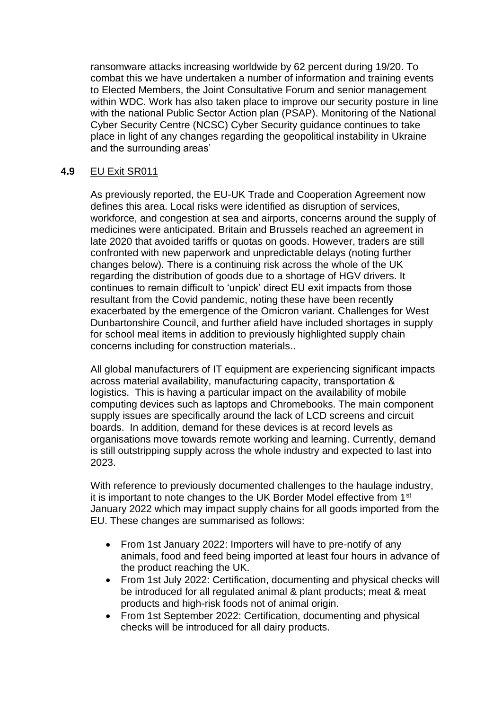ransomware attacks increasing worldwide by 62 percent during 19/20. To combat this we have undertaken a number of information and training events to Elected Members, the Joint Consultative Forum and senior management within WDC. Work has also taken place to improve our security posture in line with the national Public Sector Action plan (PSAP). Monitoring of the National Cyber Security Centre (NCSC) Cyber Security guidance continues to take place in light of any changes regarding the geopolitical instability in Ukraine and the surrounding areas'

### **4.9** EU Exit SR011

As previously reported, the EU-UK Trade and Cooperation Agreement now defines this area. Local risks were identified as disruption of services, workforce, and congestion at sea and airports, concerns around the supply of medicines were anticipated. Britain and Brussels reached an agreement in late 2020 that avoided tariffs or quotas on goods. However, traders are still confronted with new paperwork and unpredictable delays (noting further changes below). There is a continuing risk across the whole of the UK regarding the distribution of goods due to a shortage of HGV drivers. It continues to remain difficult to 'unpick' direct EU exit impacts from those resultant from the Covid pandemic, noting these have been recently exacerbated by the emergence of the Omicron variant. Challenges for West Dunbartonshire Council, and further afield have included shortages in supply for school meal items in addition to previously highlighted supply chain concerns including for construction materials..

All global manufacturers of IT equipment are experiencing significant impacts across material availability, manufacturing capacity, transportation & logistics. This is having a particular impact on the availability of mobile computing devices such as laptops and Chromebooks. The main component supply issues are specifically around the lack of LCD screens and circuit boards. In addition, demand for these devices is at record levels as organisations move towards remote working and learning. Currently, demand is still outstripping supply across the whole industry and expected to last into 2023.

With reference to previously documented challenges to the haulage industry, it is important to note changes to the UK Border Model effective from 1<sup>st</sup> January 2022 which may impact supply chains for all goods imported from the EU. These changes are summarised as follows:

- From 1st January 2022: Importers will have to pre-notify of any animals, food and feed being imported at least four hours in advance of the product reaching the UK.
- From 1st July 2022: Certification, documenting and physical checks will be introduced for all regulated animal & plant products; meat & meat products and high-risk foods not of animal origin.
- From 1st September 2022: Certification, documenting and physical checks will be introduced for all dairy products.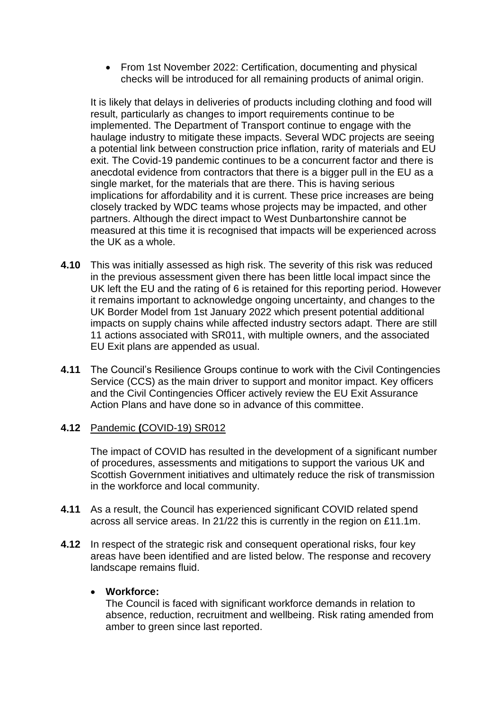• From 1st November 2022: Certification, documenting and physical checks will be introduced for all remaining products of animal origin.

It is likely that delays in deliveries of products including clothing and food will result, particularly as changes to import requirements continue to be implemented. The Department of Transport continue to engage with the haulage industry to mitigate these impacts. Several WDC projects are seeing a potential link between construction price inflation, rarity of materials and EU exit. The Covid-19 pandemic continues to be a concurrent factor and there is anecdotal evidence from contractors that there is a bigger pull in the EU as a single market, for the materials that are there. This is having serious implications for affordability and it is current. These price increases are being closely tracked by WDC teams whose projects may be impacted, and other partners. Although the direct impact to West Dunbartonshire cannot be measured at this time it is recognised that impacts will be experienced across the UK as a whole.

- **4.10** This was initially assessed as high risk. The severity of this risk was reduced in the previous assessment given there has been little local impact since the UK left the EU and the rating of 6 is retained for this reporting period. However it remains important to acknowledge ongoing uncertainty, and changes to the UK Border Model from 1st January 2022 which present potential additional impacts on supply chains while affected industry sectors adapt. There are still 11 actions associated with SR011, with multiple owners, and the associated EU Exit plans are appended as usual.
- **4.11** The Council's Resilience Groups continue to work with the Civil Contingencies Service (CCS) as the main driver to support and monitor impact. Key officers and the Civil Contingencies Officer actively review the EU Exit Assurance Action Plans and have done so in advance of this committee.

### **4.12** Pandemic **(**COVID-19) SR012

The impact of COVID has resulted in the development of a significant number of procedures, assessments and mitigations to support the various UK and Scottish Government initiatives and ultimately reduce the risk of transmission in the workforce and local community.

- **4.11** As a result, the Council has experienced significant COVID related spend across all service areas. In 21/22 this is currently in the region on £11.1m.
- **4.12** In respect of the strategic risk and consequent operational risks, four key areas have been identified and are listed below. The response and recovery landscape remains fluid.

### • **Workforce:**

The Council is faced with significant workforce demands in relation to absence, reduction, recruitment and wellbeing. Risk rating amended from amber to green since last reported.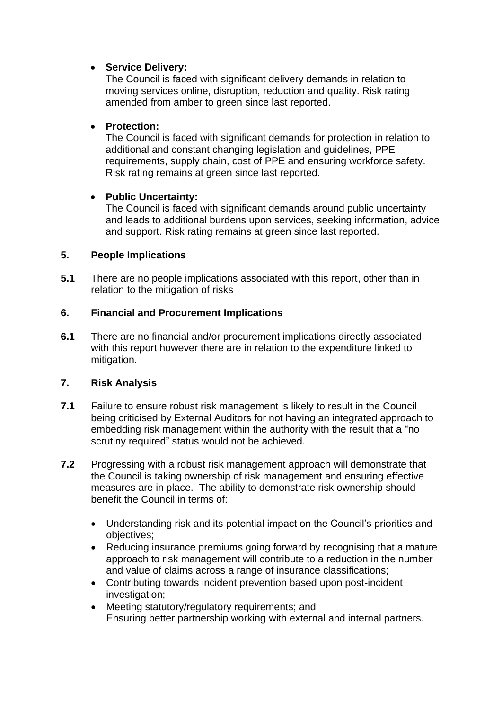# • **Service Delivery:**

The Council is faced with significant delivery demands in relation to moving services online, disruption, reduction and quality. Risk rating amended from amber to green since last reported.

### • **Protection:**

The Council is faced with significant demands for protection in relation to additional and constant changing legislation and guidelines, PPE requirements, supply chain, cost of PPE and ensuring workforce safety. Risk rating remains at green since last reported.

## • **Public Uncertainty:**

The Council is faced with significant demands around public uncertainty and leads to additional burdens upon services, seeking information, advice and support. Risk rating remains at green since last reported.

## **5. People Implications**

**5.1** There are no people implications associated with this report, other than in relation to the mitigation of risks

## **6. Financial and Procurement Implications**

**6.1** There are no financial and/or procurement implications directly associated with this report however there are in relation to the expenditure linked to mitigation.

# **7. Risk Analysis**

- **7.1** Failure to ensure robust risk management is likely to result in the Council being criticised by External Auditors for not having an integrated approach to embedding risk management within the authority with the result that a "no scrutiny required" status would not be achieved.
- **7.2** Progressing with a robust risk management approach will demonstrate that the Council is taking ownership of risk management and ensuring effective measures are in place. The ability to demonstrate risk ownership should benefit the Council in terms of:
	- Understanding risk and its potential impact on the Council's priorities and objectives;
	- Reducing insurance premiums going forward by recognising that a mature approach to risk management will contribute to a reduction in the number and value of claims across a range of insurance classifications;
	- Contributing towards incident prevention based upon post-incident investigation;
	- Meeting statutory/regulatory requirements; and Ensuring better partnership working with external and internal partners.